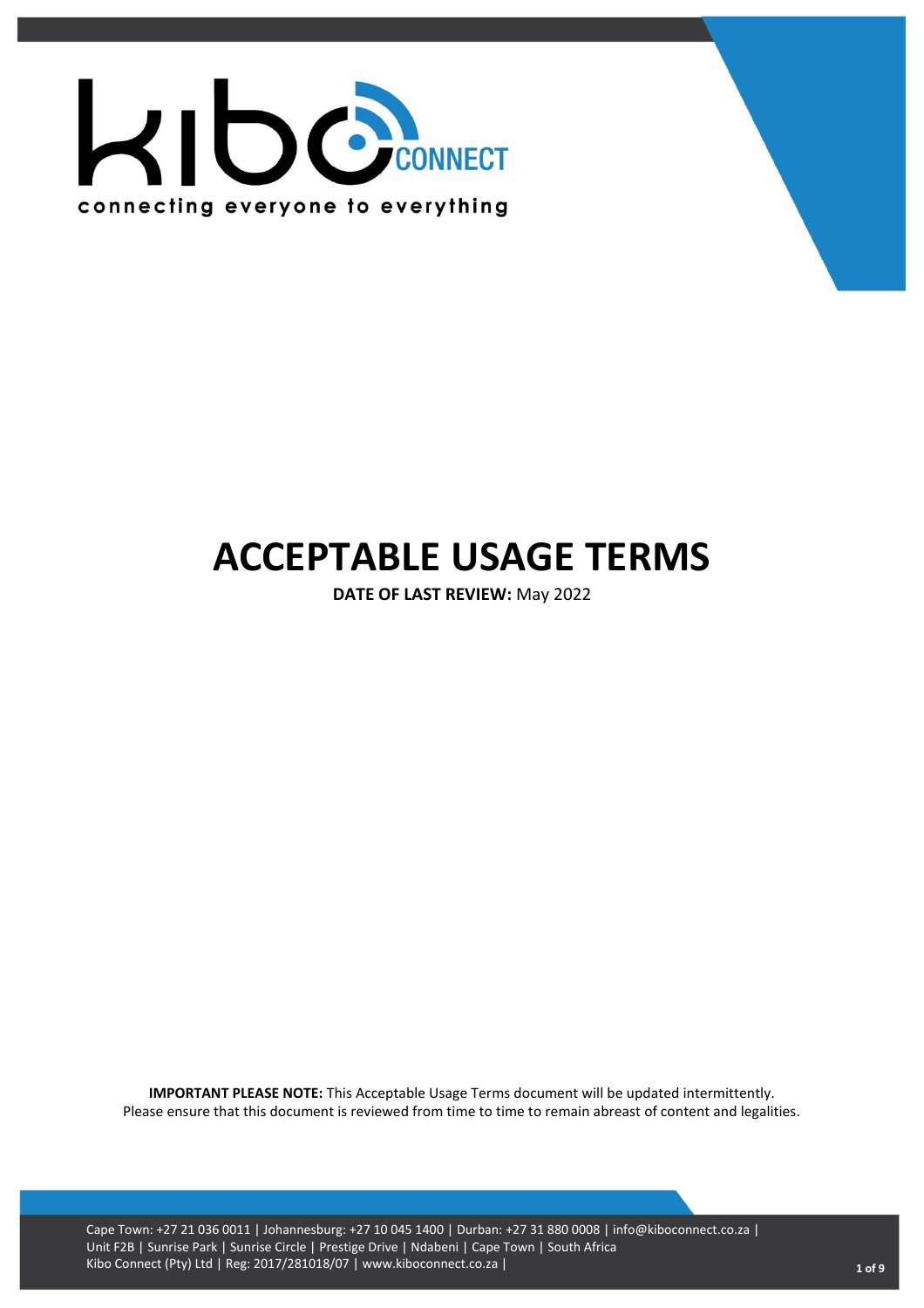

# **ACCEPTABLE USAGE TERMS**

**DATE OF LAST REVIEW:** May 2022

**IMPORTANT PLEASE NOTE:** This Acceptable Usage Terms document will be updated intermittently. Please ensure that this document is reviewed from time to time to remain abreast of content and legalities.

Cape Town: +27 21 036 0011 | Johannesburg: +27 10 045 1400 | Durban: +27 31 880 0008 | info@kiboconnect.co.za | Unit F2B | Sunrise Park | Sunrise Circle | Prestige Drive | Ndabeni | Cape Town | South Africa Kibo Connect (Pty) Ltd | Reg: 2017/281018/07 | www.kiboconnect.co.za | **<sup>1</sup> of 9**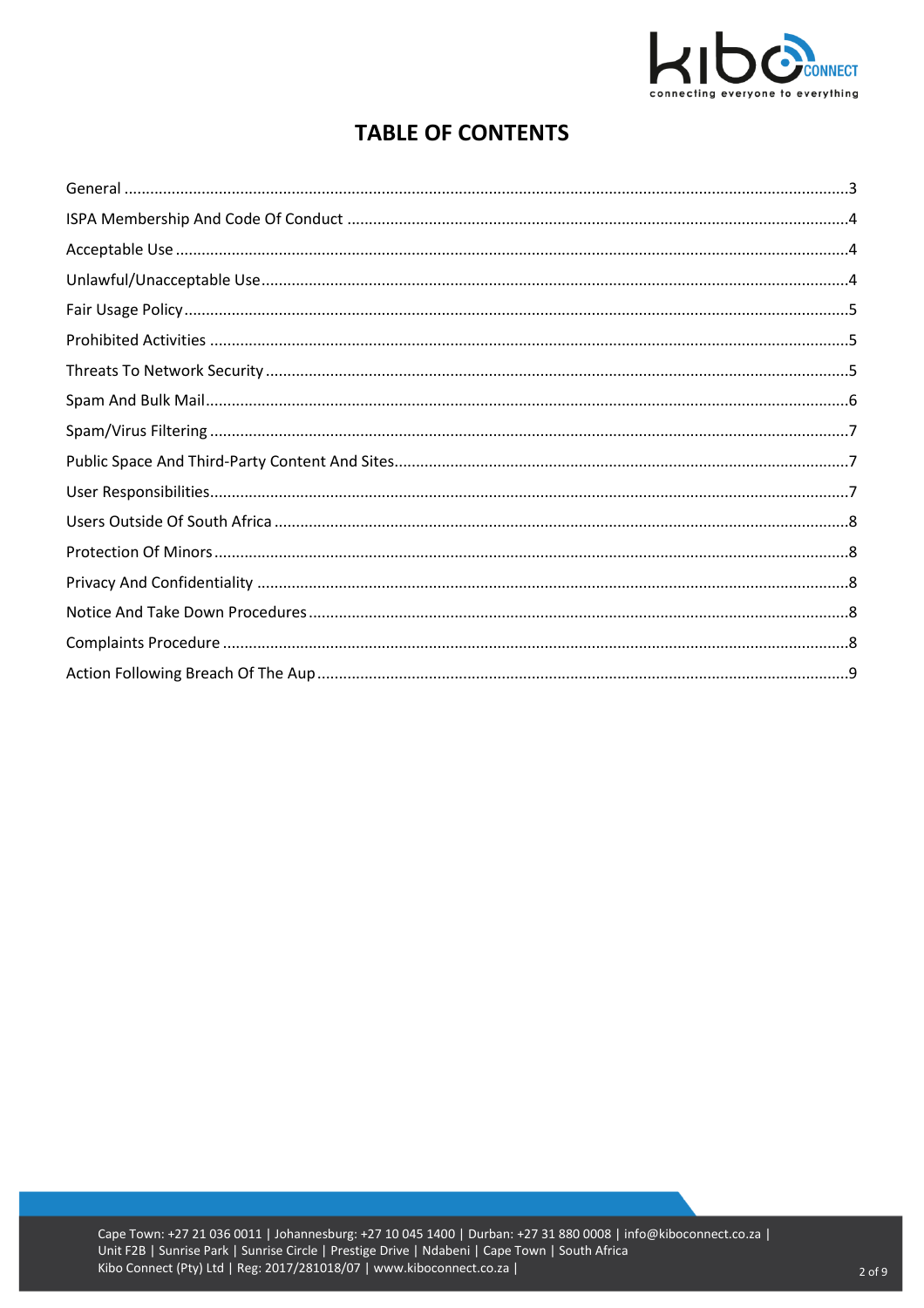

# **TABLE OF CONTENTS**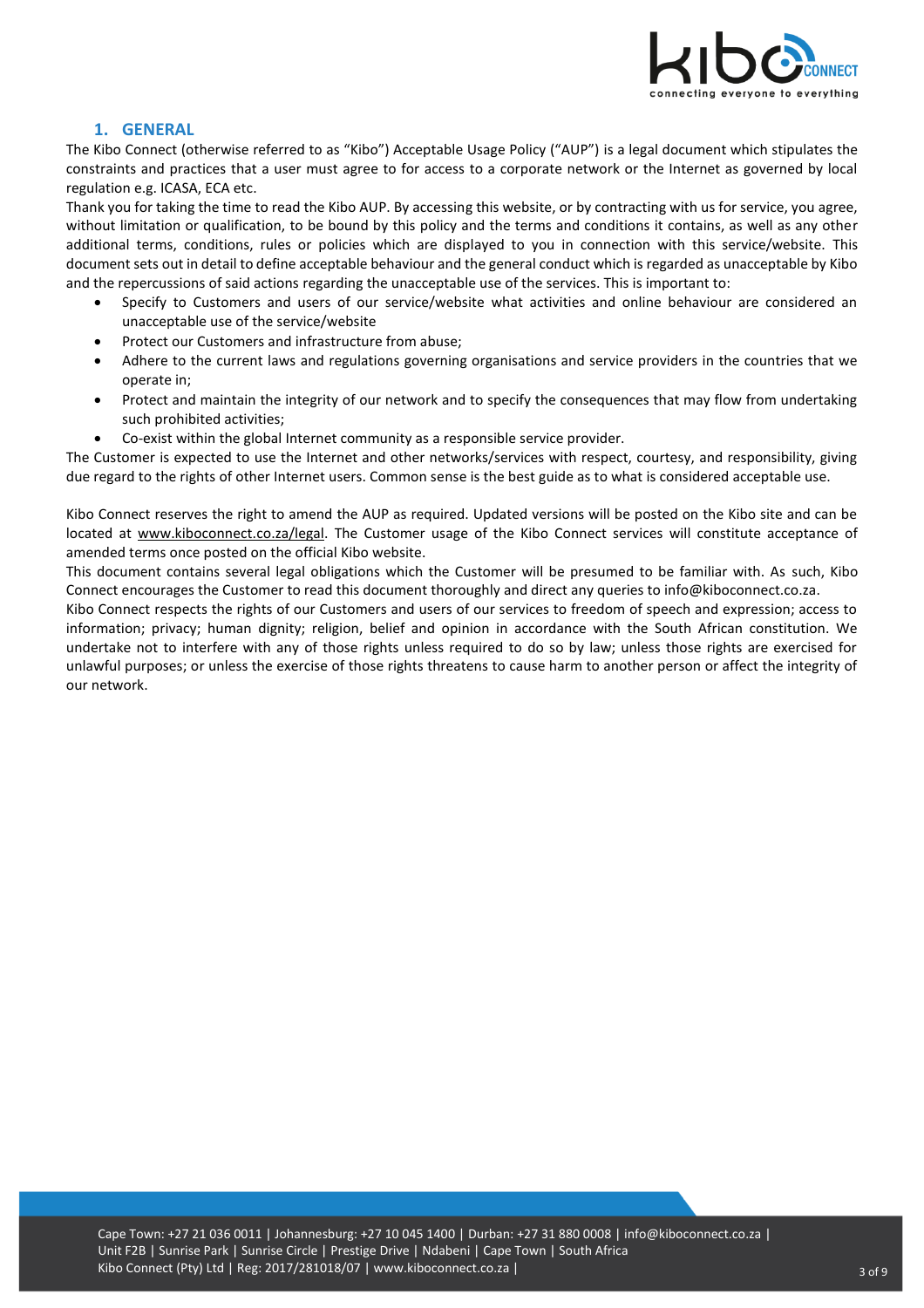

#### **1. GENERAL**

<span id="page-2-0"></span>The Kibo Connect (otherwise referred to as "Kibo") Acceptable Usage Policy ("AUP") is a legal document which stipulates the constraints and practices that a user must agree to for access to a corporate network or the Internet as governed by local regulation e.g. ICASA, ECA etc.

Thank you for taking the time to read the Kibo AUP. By accessing this website, or by contracting with us for service, you agree, without limitation or qualification, to be bound by this policy and the terms and conditions it contains, as well as any other additional terms, conditions, rules or policies which are displayed to you in connection with this service/website. This document sets out in detail to define acceptable behaviour and the general conduct which is regarded as unacceptable by Kibo and the repercussions of said actions regarding the unacceptable use of the services. This is important to:

- Specify to Customers and users of our service/website what activities and online behaviour are considered an unacceptable use of the service/website
- Protect our Customers and infrastructure from abuse;
- Adhere to the current laws and regulations governing organisations and service providers in the countries that we operate in;
- Protect and maintain the integrity of our network and to specify the consequences that may flow from undertaking such prohibited activities;
- Co-exist within the global Internet community as a responsible service provider.

The Customer is expected to use the Internet and other networks/services with respect, courtesy, and responsibility, giving due regard to the rights of other Internet users. Common sense is the best guide as to what is considered acceptable use.

Kibo Connect reserves the right to amend the AUP as required. Updated versions will be posted on the Kibo site and can be located at [www.kiboconnect.co.za/legal.](file:///C:/Users/Kerry/Documents/My%20Received%20Files/www.kiboconnect.co.za/legal) The Customer usage of the Kibo Connect services will constitute acceptance of amended terms once posted on the official Kibo website.

This document contains several legal obligations which the Customer will be presumed to be familiar with. As such, Kibo Connect encourages the Customer to read this document thoroughly and direct any queries to info@kiboconnect.co.za.

Kibo Connect respects the rights of our Customers and users of our services to freedom of speech and expression; access to information; privacy; human dignity; religion, belief and opinion in accordance with the South African constitution. We undertake not to interfere with any of those rights unless required to do so by law; unless those rights are exercised for unlawful purposes; or unless the exercise of those rights threatens to cause harm to another person or affect the integrity of our network.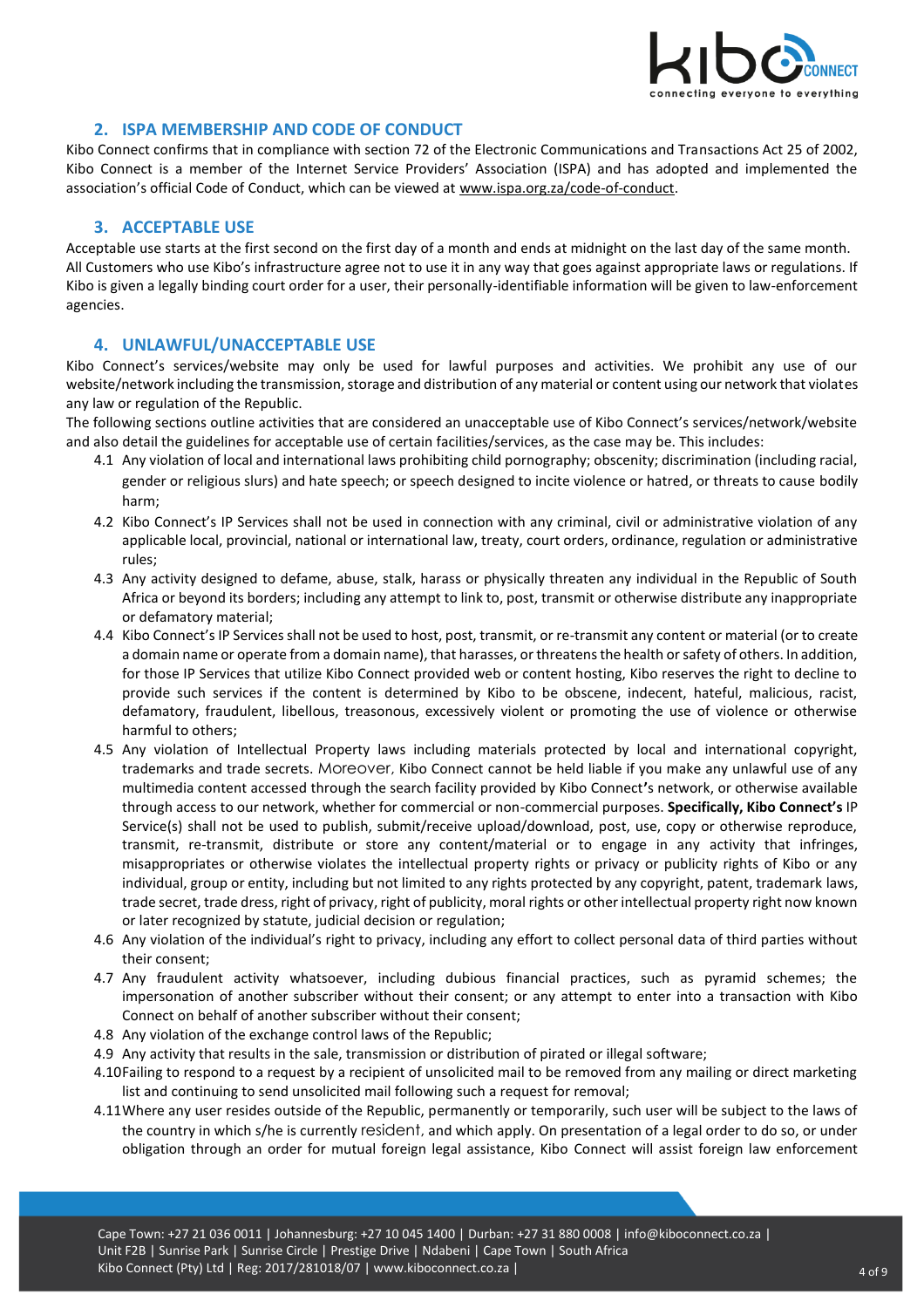

### **2. ISPA MEMBERSHIP AND CODE OF CONDUCT**

<span id="page-3-0"></span>Kibo Connect confirms that in compliance with section 72 of the Electronic Communications and Transactions Act 25 of 2002, Kibo Connect is a member of the Internet Service Providers' Association (ISPA) and has adopted and implemented the association's official Code of Conduct, which can be viewed at [www.ispa.org.za/code-of-conduct.](http://www.ispa.org.za/code-of-conduct)

#### <span id="page-3-1"></span>**3. ACCEPTABLE USE**

Acceptable use starts at the first second on the first day of a month and ends at midnight on the last day of the same month. All Customers who use Kibo's infrastructure agree not to use it in any way that goes against appropriate laws or regulations. If Kibo is given a legally binding court order for a user, their personally-identifiable information will be given to law-enforcement agencies.

#### <span id="page-3-2"></span>**4. UNLAWFUL/UNACCEPTABLE USE**

Kibo Connect's services/website may only be used for lawful purposes and activities. We prohibit any use of our website/network including the transmission, storage and distribution of any material or content using our network that violates any law or regulation of the Republic.

The following sections outline activities that are considered an unacceptable use of Kibo Connect's services/network/website and also detail the guidelines for acceptable use of certain facilities/services, as the case may be. This includes:

- 4.1 Any violation of local and international laws prohibiting child pornography; obscenity; discrimination (including racial, gender or religious slurs) and hate speech; or speech designed to incite violence or hatred, or threats to cause bodily harm;
- 4.2 Kibo Connect's IP Services shall not be used in connection with any criminal, civil or administrative violation of any applicable local, provincial, national or international law, treaty, court orders, ordinance, regulation or administrative rules;
- 4.3 Any activity designed to defame, abuse, stalk, harass or physically threaten any individual in the Republic of South Africa or beyond its borders; including any attempt to link to, post, transmit or otherwise distribute any inappropriate or defamatory material;
- 4.4 Kibo Connect's IP Services shall not be used to host, post, transmit, or re-transmit any content or material (or to create a domain name or operate from a domain name), that harasses, or threatens the health or safety of others. In addition, for those IP Services that utilize Kibo Connect provided web or content hosting, Kibo reserves the right to decline to provide such services if the content is determined by Kibo to be obscene, indecent, hateful, malicious, racist, defamatory, fraudulent, libellous, treasonous, excessively violent or promoting the use of violence or otherwise harmful to others;
- 4.5 Any violation of Intellectual Property laws including materials protected by local and international copyright, trademarks and trade secrets. Moreover, Kibo Connect cannot be held liable if you make any unlawful use of any multimedia content accessed through the search facility provided by Kibo Connect**'**s network, or otherwise available through access to our network, whether for commercial or non-commercial purposes. **Specifically, Kibo Connect's** IP Service(s) shall not be used to publish, submit/receive upload/download, post, use, copy or otherwise reproduce, transmit, re-transmit, distribute or store any content/material or to engage in any activity that infringes, misappropriates or otherwise violates the intellectual property rights or privacy or publicity rights of Kibo or any individual, group or entity, including but not limited to any rights protected by any copyright, patent, trademark laws, trade secret, trade dress, right of privacy, right of publicity, moral rights or other intellectual property right now known or later recognized by statute, judicial decision or regulation;
- 4.6 Any violation of the individual's right to privacy, including any effort to collect personal data of third parties without their consent;
- 4.7 Any fraudulent activity whatsoever, including dubious financial practices, such as pyramid schemes; the impersonation of another subscriber without their consent; or any attempt to enter into a transaction with Kibo Connect on behalf of another subscriber without their consent;
- 4.8 Any violation of the exchange control laws of the Republic;
- 4.9 Any activity that results in the sale, transmission or distribution of pirated or illegal software;
- 4.10Failing to respond to a request by a recipient of unsolicited mail to be removed from any mailing or direct marketing list and continuing to send unsolicited mail following such a request for removal;
- 4.11Where any user resides outside of the Republic, permanently or temporarily, such user will be subject to the laws of the country in which s/he is currently resident, and which apply. On presentation of a legal order to do so, or under obligation through an order for mutual foreign legal assistance, Kibo Connect will assist foreign law enforcement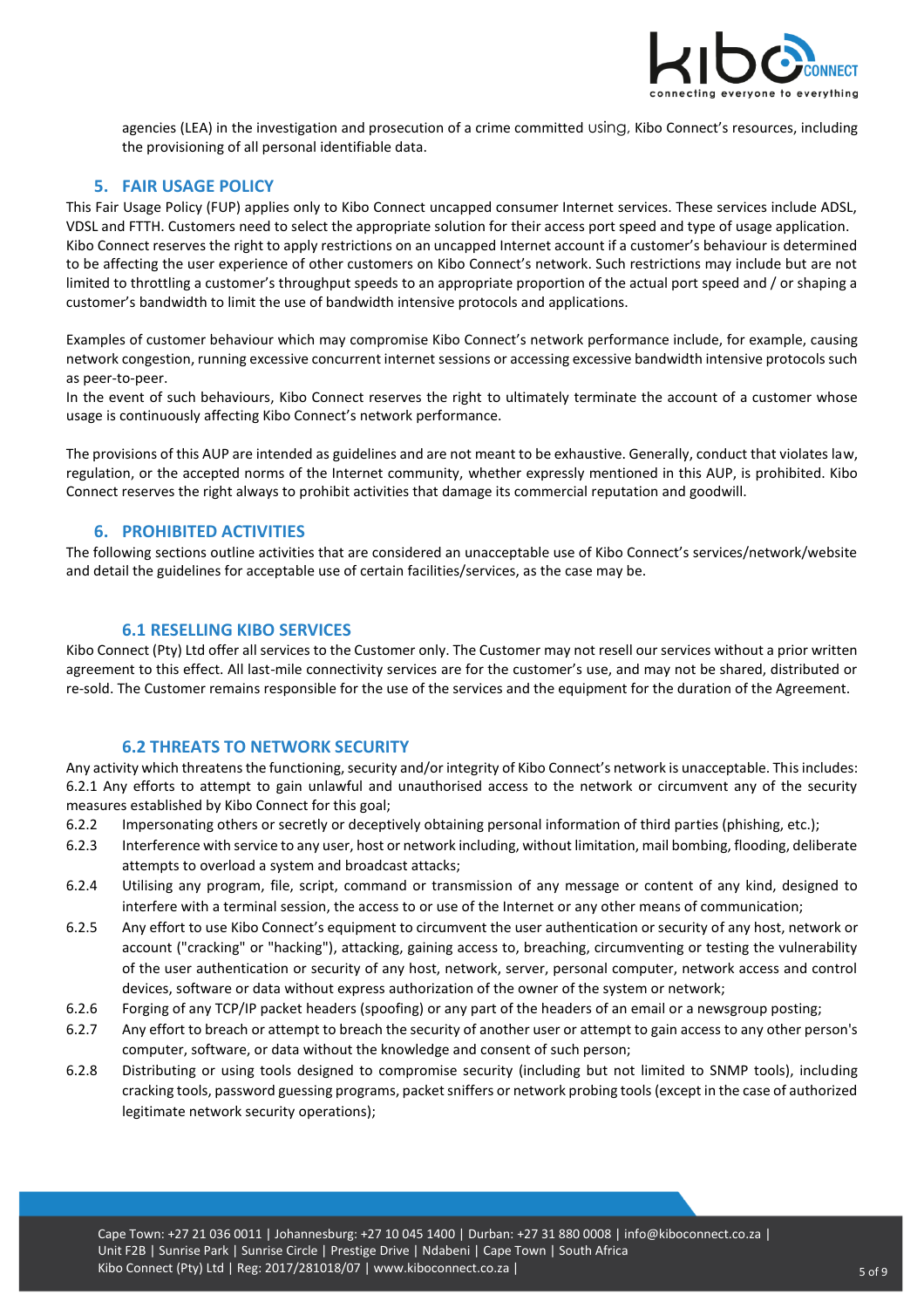

agencies (LEA) in the investigation and prosecution of a crime committed using, Kibo Connect's resources, including the provisioning of all personal identifiable data.

# <span id="page-4-0"></span>**5. FAIR USAGE POLICY**

This Fair Usage Policy (FUP) applies only to Kibo Connect uncapped consumer Internet services. These services include ADSL, VDSL and FTTH. Customers need to select the appropriate solution for their access port speed and type of usage application. Kibo Connect reserves the right to apply restrictions on an uncapped Internet account if a customer's behaviour is determined to be affecting the user experience of other customers on Kibo Connect's network. Such restrictions may include but are not limited to throttling a customer's throughput speeds to an appropriate proportion of the actual port speed and / or shaping a customer's bandwidth to limit the use of bandwidth intensive protocols and applications.

Examples of customer behaviour which may compromise Kibo Connect's network performance include, for example, causing network congestion, running excessive concurrent internet sessions or accessing excessive bandwidth intensive protocols such as peer-to-peer.

In the event of such behaviours, Kibo Connect reserves the right to ultimately terminate the account of a customer whose usage is continuously affecting Kibo Connect's network performance.

The provisions of this AUP are intended as guidelines and are not meant to be exhaustive. Generally, conduct that violates law, regulation, or the accepted norms of the Internet community, whether expressly mentioned in this AUP, is prohibited. Kibo Connect reserves the right always to prohibit activities that damage its commercial reputation and goodwill.

#### <span id="page-4-1"></span>**6. PROHIBITED ACTIVITIES**

The following sections outline activities that are considered an unacceptable use of Kibo Connect's services/network/website and detail the guidelines for acceptable use of certain facilities/services, as the case may be.

#### **6.1 RESELLING KIBO SERVICES**

Kibo Connect (Pty) Ltd offer all services to the Customer only. The Customer may not resell our services without a prior written agreement to this effect. All last-mile connectivity services are for the customer's use, and may not be shared, distributed or re-sold. The Customer remains responsible for the use of the services and the equipment for the duration of the Agreement.

#### **6.2 THREATS TO NETWORK SECURITY**

<span id="page-4-2"></span>Any activity which threatens the functioning, security and/or integrity of Kibo Connect's network is unacceptable. This includes: 6.2.1 Any efforts to attempt to gain unlawful and unauthorised access to the network or circumvent any of the security measures established by Kibo Connect for this goal;

- 6.2.2 Impersonating others or secretly or deceptively obtaining personal information of third parties (phishing, etc.);
- 6.2.3 Interference with service to any user, host or network including, without limitation, mail bombing, flooding, deliberate attempts to overload a system and broadcast attacks;
- 6.2.4 Utilising any program, file, script, command or transmission of any message or content of any kind, designed to interfere with a terminal session, the access to or use of the Internet or any other means of communication;
- 6.2.5 Any effort to use Kibo Connect's equipment to circumvent the user authentication or security of any host, network or account ("cracking" or "hacking"), attacking, gaining access to, breaching, circumventing or testing the vulnerability of the user authentication or security of any host, network, server, personal computer, network access and control devices, software or data without express authorization of the owner of the system or network;
- 6.2.6 Forging of any TCP/IP packet headers (spoofing) or any part of the headers of an email or a newsgroup posting;
- 6.2.7 Any effort to breach or attempt to breach the security of another user or attempt to gain access to any other person's computer, software, or data without the knowledge and consent of such person;
- 6.2.8 Distributing or using tools designed to compromise security (including but not limited to SNMP tools), including cracking tools, password guessing programs, packet sniffers or network probing tools (except in the case of authorized legitimate network security operations);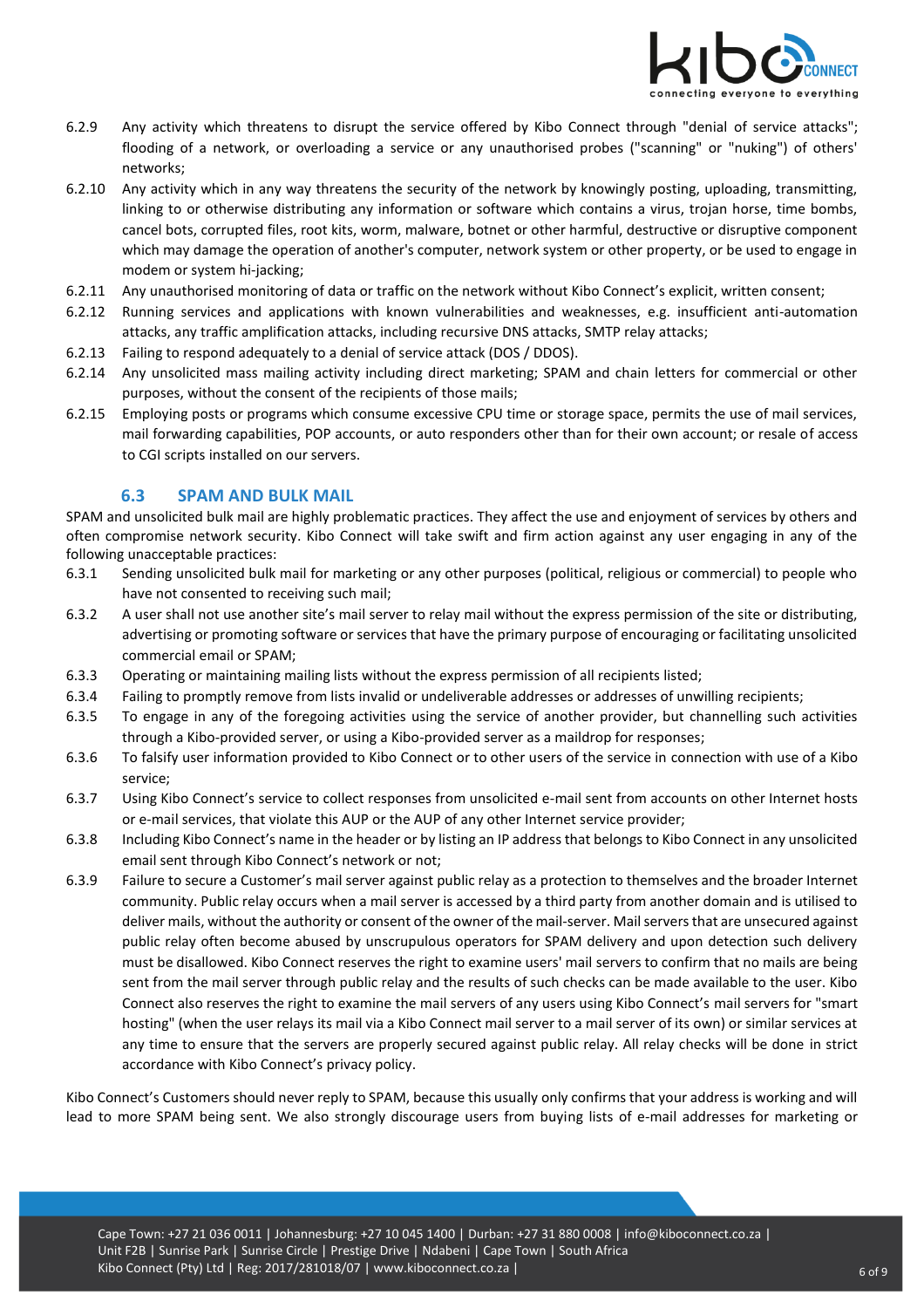

- 6.2.9 Any activity which threatens to disrupt the service offered by Kibo Connect through "denial of service attacks"; flooding of a network, or overloading a service or any unauthorised probes ("scanning" or "nuking") of others' networks;
- 6.2.10 Any activity which in any way threatens the security of the network by knowingly posting, uploading, transmitting, linking to or otherwise distributing any information or software which contains a virus, trojan horse, time bombs, cancel bots, corrupted files, root kits, worm, malware, botnet or other harmful, destructive or disruptive component which may damage the operation of another's computer, network system or other property, or be used to engage in modem or system hi-jacking;
- 6.2.11 Any unauthorised monitoring of data or traffic on the network without Kibo Connect's explicit, written consent;
- 6.2.12 Running services and applications with known vulnerabilities and weaknesses, e.g. insufficient anti-automation attacks, any traffic amplification attacks, including recursive DNS attacks, SMTP relay attacks;
- 6.2.13 Failing to respond adequately to a denial of service attack (DOS / DDOS).
- 6.2.14 Any unsolicited mass mailing activity including direct marketing; SPAM and chain letters for commercial or other purposes, without the consent of the recipients of those mails;
- 6.2.15 Employing posts or programs which consume excessive CPU time or storage space, permits the use of mail services, mail forwarding capabilities, POP accounts, or auto responders other than for their own account; or resale of access to CGI scripts installed on our servers.

#### **6.3 SPAM AND BULK MAIL**

<span id="page-5-0"></span>SPAM and unsolicited bulk mail are highly problematic practices. They affect the use and enjoyment of services by others and often compromise network security. Kibo Connect will take swift and firm action against any user engaging in any of the following unacceptable practices:

- 6.3.1 Sending unsolicited bulk mail for marketing or any other purposes (political, religious or commercial) to people who have not consented to receiving such mail;
- 6.3.2 A user shall not use another site's mail server to relay mail without the express permission of the site or distributing, advertising or promoting software or services that have the primary purpose of encouraging or facilitating unsolicited commercial email or SPAM;
- 6.3.3 Operating or maintaining mailing lists without the express permission of all recipients listed;
- 6.3.4 Failing to promptly remove from lists invalid or undeliverable addresses or addresses of unwilling recipients;
- 6.3.5 To engage in any of the foregoing activities using the service of another provider, but channelling such activities through a Kibo-provided server, or using a Kibo-provided server as a maildrop for responses;
- 6.3.6 To falsify user information provided to Kibo Connect or to other users of the service in connection with use of a Kibo service;
- 6.3.7 Using Kibo Connect's service to collect responses from unsolicited e-mail sent from accounts on other Internet hosts or e-mail services, that violate this AUP or the AUP of any other Internet service provider;
- 6.3.8 Including Kibo Connect's name in the header or by listing an IP address that belongs to Kibo Connect in any unsolicited email sent through Kibo Connect's network or not;
- 6.3.9 Failure to secure a Customer's mail server against public relay as a protection to themselves and the broader Internet community. Public relay occurs when a mail server is accessed by a third party from another domain and is utilised to deliver mails, without the authority or consent of the owner of the mail-server. Mail servers that are unsecured against public relay often become abused by unscrupulous operators for SPAM delivery and upon detection such delivery must be disallowed. Kibo Connect reserves the right to examine users' mail servers to confirm that no mails are being sent from the mail server through public relay and the results of such checks can be made available to the user. Kibo Connect also reserves the right to examine the mail servers of any users using Kibo Connect's mail servers for "smart hosting" (when the user relays its mail via a Kibo Connect mail server to a mail server of its own) or similar services at any time to ensure that the servers are properly secured against public relay. All relay checks will be done in strict accordance with Kibo Connect's privacy policy.

Kibo Connect's Customers should never reply to SPAM, because this usually only confirms that your address is working and will lead to more SPAM being sent. We also strongly discourage users from buying lists of e-mail addresses for marketing or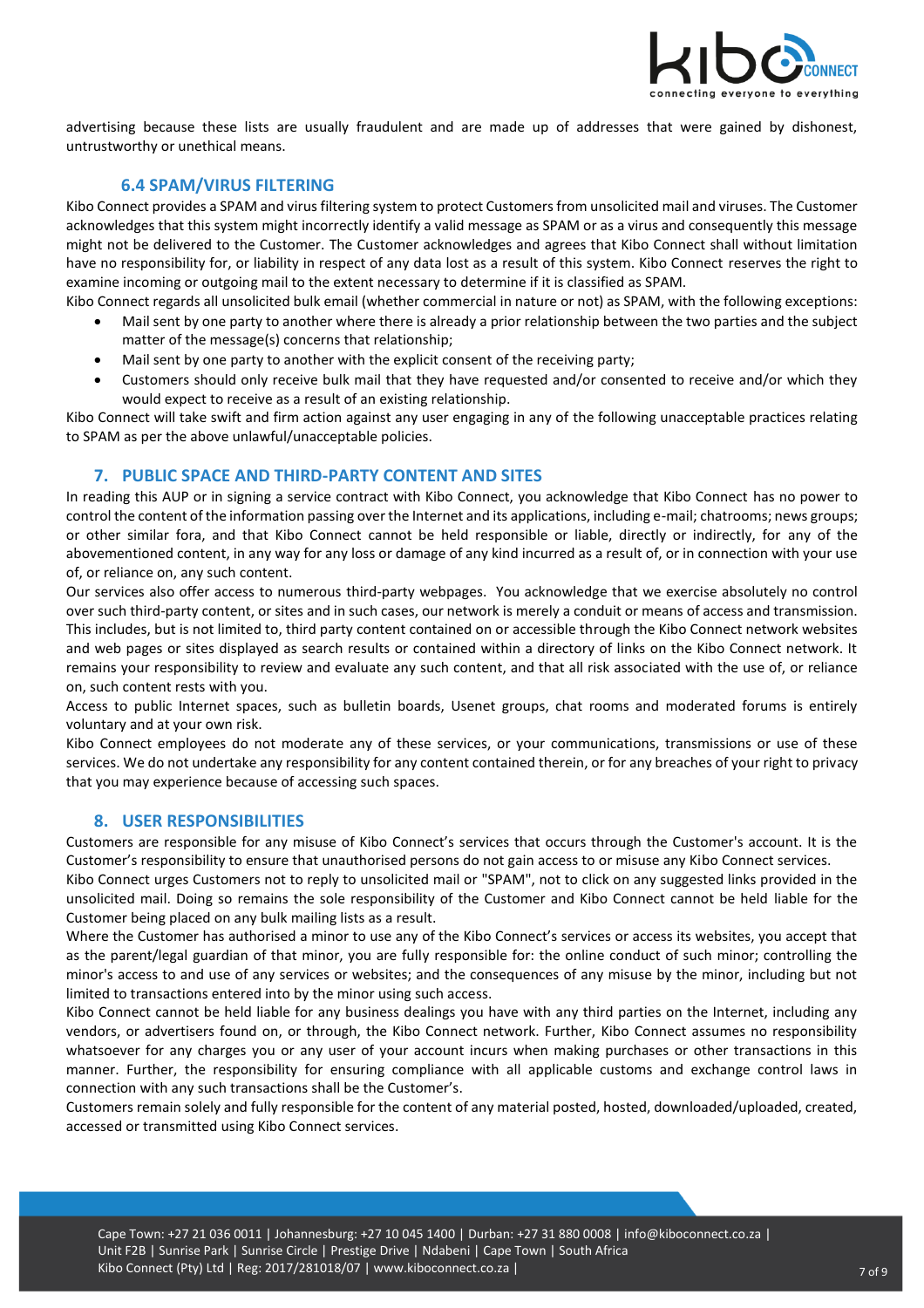

<span id="page-6-0"></span>advertising because these lists are usually fraudulent and are made up of addresses that were gained by dishonest, untrustworthy or unethical means.

### **6.4 SPAM/VIRUS FILTERING**

Kibo Connect provides a SPAM and virus filtering system to protect Customers from unsolicited mail and viruses. The Customer acknowledges that this system might incorrectly identify a valid message as SPAM or as a virus and consequently this message might not be delivered to the Customer. The Customer acknowledges and agrees that Kibo Connect shall without limitation have no responsibility for, or liability in respect of any data lost as a result of this system. Kibo Connect reserves the right to examine incoming or outgoing mail to the extent necessary to determine if it is classified as SPAM.

- Kibo Connect regards all unsolicited bulk email (whether commercial in nature or not) as SPAM, with the following exceptions: • Mail sent by one party to another where there is already a prior relationship between the two parties and the subject
	- matter of the message(s) concerns that relationship;
	- Mail sent by one party to another with the explicit consent of the receiving party;
	- Customers should only receive bulk mail that they have requested and/or consented to receive and/or which they would expect to receive as a result of an existing relationship.

<span id="page-6-1"></span>Kibo Connect will take swift and firm action against any user engaging in any of the following unacceptable practices relating to SPAM as per the above unlawful/unacceptable policies.

#### **7. PUBLIC SPACE AND THIRD-PARTY CONTENT AND SITES**

In reading this AUP or in signing a service contract with Kibo Connect, you acknowledge that Kibo Connect has no power to control the content of the information passing over the Internet and its applications, including e-mail; chatrooms; news groups; or other similar fora, and that Kibo Connect cannot be held responsible or liable, directly or indirectly, for any of the abovementioned content, in any way for any loss or damage of any kind incurred as a result of, or in connection with your use of, or reliance on, any such content.

Our services also offer access to numerous third-party webpages. You acknowledge that we exercise absolutely no control over such third-party content, or sites and in such cases, our network is merely a conduit or means of access and transmission. This includes, but is not limited to, third party content contained on or accessible through the Kibo Connect network websites and web pages or sites displayed as search results or contained within a directory of links on the Kibo Connect network. It remains your responsibility to review and evaluate any such content, and that all risk associated with the use of, or reliance on, such content rests with you.

Access to public Internet spaces, such as bulletin boards, Usenet groups, chat rooms and moderated forums is entirely voluntary and at your own risk.

Kibo Connect employees do not moderate any of these services, or your communications, transmissions or use of these services. We do not undertake any responsibility for any content contained therein, or for any breaches of your right to privacy that you may experience because of accessing such spaces.

#### <span id="page-6-2"></span>**8. USER RESPONSIBILITIES**

Customers are responsible for any misuse of Kibo Connect's services that occurs through the Customer's account. It is the Customer's responsibility to ensure that unauthorised persons do not gain access to or misuse any Kibo Connect services.

Kibo Connect urges Customers not to reply to unsolicited mail or "SPAM", not to click on any suggested links provided in the unsolicited mail. Doing so remains the sole responsibility of the Customer and Kibo Connect cannot be held liable for the Customer being placed on any bulk mailing lists as a result.

Where the Customer has authorised a minor to use any of the Kibo Connect's services or access its websites, you accept that as the parent/legal guardian of that minor, you are fully responsible for: the online conduct of such minor; controlling the minor's access to and use of any services or websites; and the consequences of any misuse by the minor, including but not limited to transactions entered into by the minor using such access.

Kibo Connect cannot be held liable for any business dealings you have with any third parties on the Internet, including any vendors, or advertisers found on, or through, the Kibo Connect network. Further, Kibo Connect assumes no responsibility whatsoever for any charges you or any user of your account incurs when making purchases or other transactions in this manner. Further, the responsibility for ensuring compliance with all applicable customs and exchange control laws in connection with any such transactions shall be the Customer's.

Customers remain solely and fully responsible for the content of any material posted, hosted, downloaded/uploaded, created, accessed or transmitted using Kibo Connect services.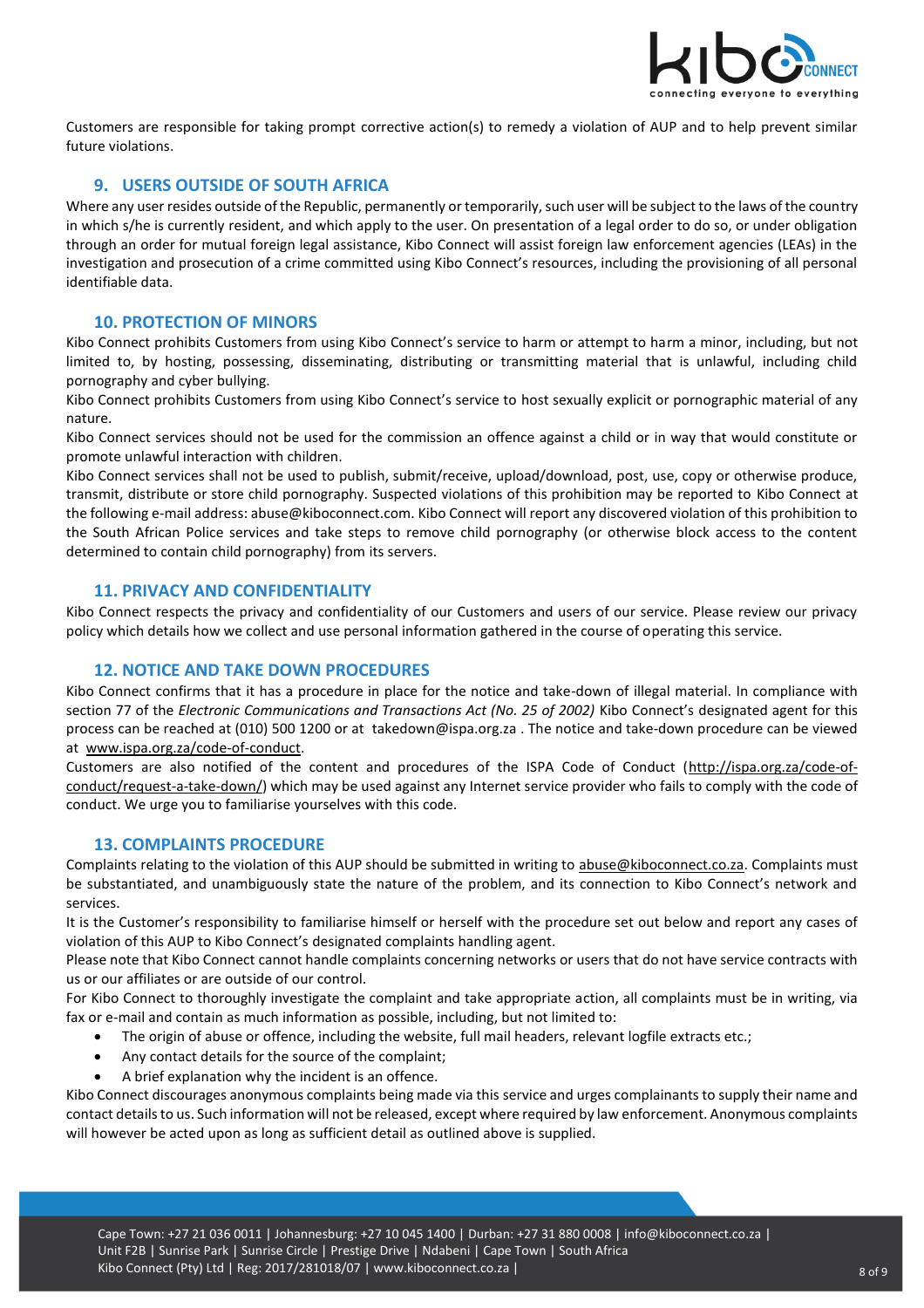

<span id="page-7-0"></span>Customers are responsible for taking prompt corrective action(s) to remedy a violation of AUP and to help prevent similar future violations.

# **9. USERS OUTSIDE OF SOUTH AFRICA**

Where any user resides outside of the Republic, permanently or temporarily, such user will be subject to the laws of the country in which s/he is currently resident, and which apply to the user. On presentation of a legal order to do so, or under obligation through an order for mutual foreign legal assistance, Kibo Connect will assist foreign law enforcement agencies (LEAs) in the investigation and prosecution of a crime committed using Kibo Connect's resources, including the provisioning of all personal identifiable data.

#### <span id="page-7-1"></span>**10. PROTECTION OF MINORS**

Kibo Connect prohibits Customers from using Kibo Connect's service to harm or attempt to harm a minor, including, but not limited to, by hosting, possessing, disseminating, distributing or transmitting material that is unlawful, including child pornography and cyber bullying.

Kibo Connect prohibits Customers from using Kibo Connect's service to host sexually explicit or pornographic material of any nature.

Kibo Connect services should not be used for the commission an offence against a child or in way that would constitute or promote unlawful interaction with children.

Kibo Connect services shall not be used to publish, submit/receive, upload/download, post, use, copy or otherwise produce, transmit, distribute or store child pornography. Suspected violations of this prohibition may be reported to Kibo Connect at the following e-mail address: abuse@kiboconnect.com. Kibo Connect will report any discovered violation of this prohibition to the South African Police services and take steps to remove child pornography (or otherwise block access to the content determined to contain child pornography) from its servers.

#### <span id="page-7-2"></span>**11. PRIVACY AND CONFIDENTIALITY**

<span id="page-7-3"></span>Kibo Connect respects the privacy and confidentiality of our Customers and users of our service. Please review our privacy policy which details how we collect and use personal information gathered in the course of operating this service.

#### **12. NOTICE AND TAKE DOWN PROCEDURES**

Kibo Connect confirms that it has a procedure in place for the notice and take-down of illegal material. In compliance with section 77 of the *Electronic Communications and Transactions Act (No. 25 of 2002)* Kibo Connect's designated agent for this process can be reached at (010) 500 1200 or at [takedown@ispa.org.za .](mailto:fictitiousabuseaddress@company.co.za) The notice and take-down procedure can be viewed at [www.ispa.org.za/code-of-conduct.](http://www.ispa.org.za/code-of-conduct)

Customers are also notified of the content and procedures of the ISPA Code of Conduct [\(http://ispa.org.za/code-of](http://ispa.org.za/code-of-conduct/request-a-take-down/)[conduct/request-a-take-down/\)](http://ispa.org.za/code-of-conduct/request-a-take-down/) which may be used against any Internet service provider who fails to comply with the code of conduct. We urge you to familiarise yourselves with this code.

#### <span id="page-7-4"></span>**13. COMPLAINTS PROCEDURE**

Complaints relating to the violation of this AUP should be submitted in writing to [abuse@kiboconnect.co.za.](mailto:abuse@kiboconnect.co.za) Complaints must be substantiated, and unambiguously state the nature of the problem, and its connection to Kibo Connect's network and services.

It is the Customer's responsibility to familiarise himself or herself with the procedure set out below and report any cases of violation of this AUP to Kibo Connect's designated complaints handling agent.

Please note that Kibo Connect cannot handle complaints concerning networks or users that do not have service contracts with us or our affiliates or are outside of our control.

For Kibo Connect to thoroughly investigate the complaint and take appropriate action, all complaints must be in writing, via fax or e-mail and contain as much information as possible, including, but not limited to:

- The origin of abuse or offence, including the website, full mail headers, relevant logfile extracts etc.;
- Any contact details for the source of the complaint;
- A brief explanation why the incident is an offence.

Kibo Connect discourages anonymous complaints being made via this service and urges complainants to supply their name and contact details to us. Such information will not be released, except where required by law enforcement. Anonymous complaints will however be acted upon as long as sufficient detail as outlined above is supplied.